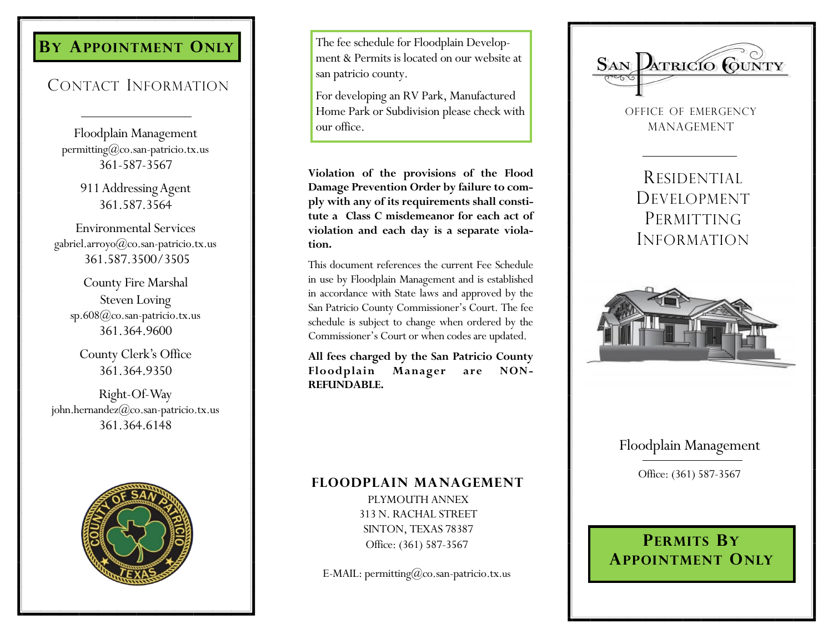## **B Y APPOINTMENT ONLY**

# CONTACT INFORMATION

Floodplain Management permitting@co.san -patricio.tx.us 361 -587 -3567

> 911 Addressing Agent 361.587.3564

Environmental Services gabriel.arroyo@co.san -patricio.tx.us 361.587.3500/3505

County Fire Marshal Steven Loving sp.608@co.san -patricio.tx.us 361.364.9600

County Clerk's Office 361.364.9350

Right -Of-Way john.hernandez@co.san -patricio.tx.us 361.364.6148



The fee schedule for Floodplain Development & Permits is located on our website at san patricio county.

For developing an RV Park, Manufactured Home Park or Subdivision please check with our office.

**Violation of the provisions of the Flood Damage Prevention Order by failure to comply with any of its requirements shall constitute a Class C misdemeanor for each act of violation and each day is a separate violation.** 

This document references the current Fee Schedule in use by Floodplain Management and is established in accordance with State laws and approved by the San Patricio County Commissioner's Court. The fee schedule is subject to change when ordered by the Commissioner's Court or when codes are updated.

**All fees charged by the San Patricio County Floodplain Manager are NON - REFUNDABLE.**

### **FLOODPLAIN MANAGEMENT**

PLYMOUTH ANNEX 313 N. RACHAL STREET SINTON, TEXAS 78387 Office: (361) 587-3567

E -MAIL: permitting@co.san -patricio.tx.us



OFFICE OF EMERGENCY MANAGEMENT

RESIDENTIAL DEVELOPMENT PERMITTING INFORMATION



## Floodplain Management

Office: (361) 587-3567

## **PERMITS B Y APPOINTMENT ONLY**